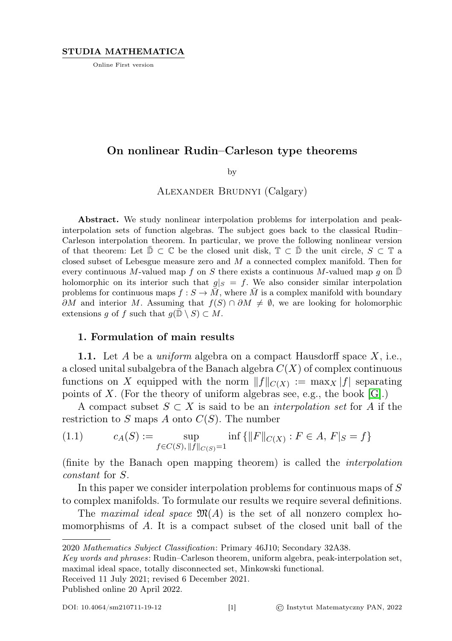Online First version

# On nonlinear Rudin–Carleson type theorems

by

Alexander Brudnyi (Calgary)

Abstract. We study nonlinear interpolation problems for interpolation and peakinterpolation sets of function algebras. The subject goes back to the classical Rudin– Carleson interpolation theorem. In particular, we prove the following nonlinear version of that theorem: Let  $\overline{\mathbb{D}} \subset \mathbb{C}$  be the closed unit disk,  $\mathbb{T} \subset \overline{\mathbb{D}}$  the unit circle,  $S \subset \mathbb{T}$  a closed subset of Lebesgue measure zero and M a connected complex manifold. Then for every continuous M-valued map f on S there exists a continuous M-valued map g on  $\mathbb D$ holomorphic on its interior such that  $g|_S = f$ . We also consider similar interpolation problems for continuous maps  $f : S \to \overline{M}$ , where  $\overline{M}$  is a complex manifold with boundary  $\partial M$  and interior M. Assuming that  $f(S) \cap \partial M \neq \emptyset$ , we are looking for holomorphic extensions g of f such that  $g(\overline{D} \setminus S) \subset M$ .

# 1. Formulation of main results

**1.1.** Let A be a *uniform* algebra on a compact Hausdorff space  $X$ , i.e., a closed unital subalgebra of the Banach algebra  $C(X)$  of complex continuous functions on X equipped with the norm  $||f||_{C(X)} := \max_{X} |f|$  separating points of X. (For the theory of uniform algebras see, e.g., the book  $|G|$ .)

A compact subset  $S \subset X$  is said to be an *interpolation set* for A if the restriction to  $S$  maps  $A$  onto  $C(S)$ . The number

<span id="page-0-0"></span>(1.1) 
$$
c_A(S) := \sup_{f \in C(S), \|f\|_{C(S)} = 1} \inf \{ \|F\|_{C(X)} : F \in A, F|_S = f \}
$$

(finite by the Banach open mapping theorem) is called the interpolation constant for S.

In this paper we consider interpolation problems for continuous maps of S to complex manifolds. To formulate our results we require several definitions.

The maximal ideal space  $\mathfrak{M}(A)$  is the set of all nonzero complex homomorphisms of A. It is a compact subset of the closed unit ball of the

Received 11 July 2021; revised 6 December 2021.

Published online 20 April 2022.

<sup>2020</sup> Mathematics Subject Classification: Primary 46J10; Secondary 32A38.

Key words and phrases: Rudin–Carleson theorem, uniform algebra, peak-interpolation set, maximal ideal space, totally disconnected set, Minkowski functional.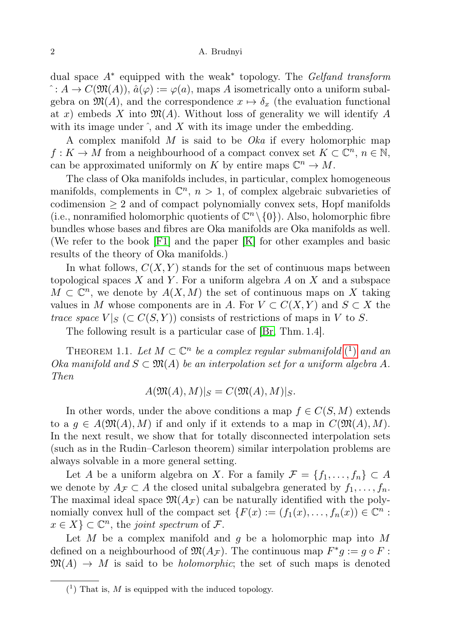dual space  $A^*$  equipped with the weak<sup>\*</sup> topology. The Gelfand transform  $\hat{c}: A \to C(\mathfrak{M}(A)), \hat{a}(\varphi) := \varphi(a)$ , maps A isometrically onto a uniform subalgebra on  $\mathfrak{M}(A)$ , and the correspondence  $x \mapsto \delta_x$  (the evaluation functional at x) embeds X into  $\mathfrak{M}(A)$ . Without loss of generality we will identify A with its image under  $\hat{h}$ , and  $\hat{X}$  with its image under the embedding.

A complex manifold M is said to be Oka if every holomorphic map  $f: K \to M$  from a neighbourhood of a compact convex set  $K \subset \mathbb{C}^n$ ,  $n \in \mathbb{N}$ , can be approximated uniformly on K by entire maps  $\mathbb{C}^n \to M$ .

The class of Oka manifolds includes, in particular, complex homogeneous manifolds, complements in  $\mathbb{C}^n$ ,  $n > 1$ , of complex algebraic subvarieties of codimension  $\geq 2$  and of compact polynomially convex sets, Hopf manifolds (i.e., nonramified holomorphic quotients of  $\mathbb{C}^n \setminus \{0\}$ ). Also, holomorphic fibre bundles whose bases and fibres are Oka manifolds are Oka manifolds as well. (We refer to the book [\[F1\]](#page-15-1) and the paper [\[K\]](#page-15-2) for other examples and basic results of the theory of Oka manifolds.)

In what follows,  $C(X, Y)$  stands for the set of continuous maps between topological spaces  $X$  and  $Y$ . For a uniform algebra  $A$  on  $X$  and a subspace  $M \subset \mathbb{C}^n$ , we denote by  $A(X, M)$  the set of continuous maps on X taking values in M whose components are in A. For  $V \subset C(X,Y)$  and  $S \subset X$  the *trace space*  $V|_S \subset C(S, Y)$  consists of restrictions of maps in V to S.

The following result is a particular case of [\[Br,](#page-15-3) Thm. 1.4].

THEOREM 1.1. Let  $M \subset \mathbb{C}^n$  be a complex regular submanifold  $(1)$  $(1)$  and an Oka manifold and  $S \subset \mathfrak{M}(A)$  be an interpolation set for a uniform algebra A. Then

$$
A(\mathfrak{M}(A),M)|_S = C(\mathfrak{M}(A),M)|_S.
$$

In other words, under the above conditions a map  $f \in C(S, M)$  extends to a  $g \in A(\mathfrak{M}(A), M)$  if and only if it extends to a map in  $C(\mathfrak{M}(A), M)$ . In the next result, we show that for totally disconnected interpolation sets (such as in the Rudin–Carleson theorem) similar interpolation problems are always solvable in a more general setting.

Let A be a uniform algebra on X. For a family  $\mathcal{F} = \{f_1, \ldots, f_n\} \subset A$ we denote by  $A_{\mathcal{F}} \subset A$  the closed unital subalgebra generated by  $f_1, \ldots, f_n$ . The maximal ideal space  $\mathfrak{M}(A_{\mathcal{F}})$  can be naturally identified with the polynomially convex hull of the compact set  $\{F(x) := (f_1(x), \ldots, f_n(x)) \in \mathbb{C}^n$ :  $x \in X$   $\subset \mathbb{C}^n$ , the joint spectrum of  $\mathcal{F}$ .

Let M be a complex manifold and  $g$  be a holomorphic map into M defined on a neighbourhood of  $\mathfrak{M}(A_{\mathcal{F}})$ . The continuous map  $F^*g := g \circ F$ :  $\mathfrak{M}(A) \rightarrow M$  is said to be *holomorphic*; the set of such maps is denoted

<span id="page-1-0"></span> $(1)$  That is, M is equipped with the induced topology.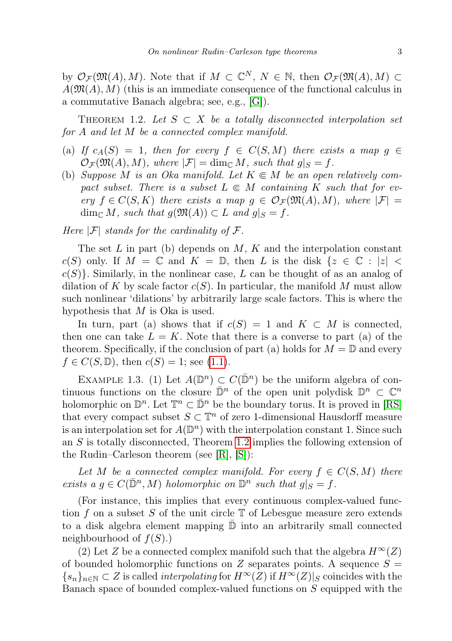by  $\mathcal{O}_{\mathcal{F}}(\mathfrak{M}(A), M)$ . Note that if  $M \subset \mathbb{C}^N$ ,  $N \in \mathbb{N}$ , then  $\mathcal{O}_{\mathcal{F}}(\mathfrak{M}(A), M) \subset$  $A(\mathfrak{M}(A), M)$  (this is an immediate consequence of the functional calculus in a commutative Banach algebra; see, e.g., [\[G\]](#page-15-0)).

<span id="page-2-0"></span>THEOREM 1.2. Let  $S \subset X$  be a totally disconnected interpolation set for A and let M be a connected complex manifold.

- (a) If  $c_A(S) = 1$ , then for every  $f \in C(S, M)$  there exists a map  $g \in$  $\mathcal{O}_{\mathcal{F}}(\mathfrak{M}(A), M)$ , where  $|\mathcal{F}| = \dim_{\mathbb{C}} M$ , such that  $g|_{S} = f$ .
- (b) Suppose M is an Oka manifold. Let  $K \subseteq M$  be an open relatively compact subset. There is a subset  $L \in M$  containing K such that for every  $f \in C(S, K)$  there exists a map  $g \in \mathcal{O}_{\mathcal{F}}(\mathfrak{M}(A), M)$ , where  $|\mathcal{F}| =$  $\dim_{\mathbb{C}} M$ , such that  $g(\mathfrak{M}(A)) \subset L$  and  $g|_{S} = f$ .

Here  $|\mathcal{F}|$  stands for the cardinality of  $\mathcal{F}$ .

The set  $L$  in part (b) depends on  $M$ ,  $K$  and the interpolation constant  $c(S)$  only. If  $M = \mathbb{C}$  and  $K = \mathbb{D}$ , then L is the disk  $\{z \in \mathbb{C} : |z|$  $c(S)$ . Similarly, in the nonlinear case, L can be thought of as an analog of dilation of K by scale factor  $c(S)$ . In particular, the manifold M must allow such nonlinear 'dilations' by arbitrarily large scale factors. This is where the hypothesis that  $M$  is Oka is used.

In turn, part (a) shows that if  $c(S) = 1$  and  $K \subset M$  is connected, then one can take  $L = K$ . Note that there is a converse to part (a) of the theorem. Specifically, if the conclusion of part (a) holds for  $M = \mathbb{D}$  and every  $f \in C(S, \mathbb{D})$ , then  $c(S) = 1$ ; see [\(1.1\)](#page-0-0).

EXAMPLE 1.3. (1) Let  $A(\mathbb{D}^n) \subset C(\bar{\mathbb{D}}^n)$  be the uniform algebra of continuous functions on the closure  $\bar{\mathbb{D}}^n$  of the open unit polydisk  $\mathbb{D}^n \subset \mathbb{C}^n$ holomorphic on  $\mathbb{D}^n$ . Let  $\mathbb{T}^n \subset \bar{\mathbb{D}}^n$  be the boundary torus. It is proved in [\[RS\]](#page-15-4) that every compact subset  $S \subset \mathbb{T}^n$  of zero 1-dimensional Hausdorff measure is an interpolation set for  $A(\mathbb{D}^n)$  with the interpolation constant 1. Since such an  $S$  is totally disconnected, Theorem [1.2](#page-2-0) implies the following extension of the Rudin–Carleson theorem (see [\[R\]](#page-15-5), [\[S\]](#page-15-6)):

Let M be a connected complex manifold. For every  $f \in C(S, M)$  there exists a  $g \in C(\bar{\mathbb{D}}^n, M)$  holomorphic on  $\mathbb{D}^n$  such that  $g|_S = f$ .

(For instance, this implies that every continuous complex-valued function f on a subset S of the unit circle  $\mathbb T$  of Lebesgue measure zero extends to a disk algebra element mapping  $\mathbb D$  into an arbitrarily small connected neighbourhood of  $f(S)$ .)

(2) Let Z be a connected complex manifold such that the algebra  $H^{\infty}(Z)$ of bounded holomorphic functions on Z separates points. A sequence  $S =$  ${s_n}_{n\in\mathbb{N}}\subset Z$  is called *interpolating* for  $H^{\infty}(Z)$  if  $H^{\infty}(Z)|_S$  coincides with the Banach space of bounded complex-valued functions on S equipped with the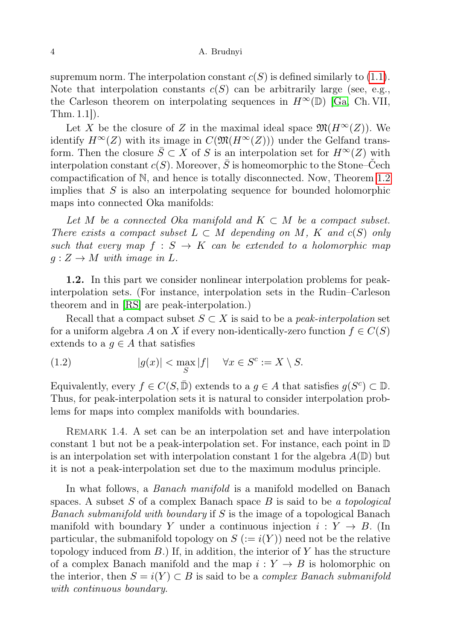supremum norm. The interpolation constant  $c(S)$  is defined similarly to [\(1.1\)](#page-0-0). Note that interpolation constants  $c(S)$  can be arbitrarily large (see, e.g., the Carleson theorem on interpolating sequences in  $H^{\infty}(\mathbb{D})$  [\[Ga,](#page-15-7) Ch. VII, Thm. 1.1]).

Let X be the closure of Z in the maximal ideal space  $\mathfrak{M}(H^{\infty}(Z))$ . We identify  $H^{\infty}(Z)$  with its image in  $C(\mathfrak{M}(H^{\infty}(Z)))$  under the Gelfand transform. Then the closure  $\overline{S} \subset X$  of S is an interpolation set for  $H^{\infty}(Z)$  with interpolation constant  $c(S)$ . Moreover,  $\overline{S}$  is homeomorphic to the Stone–Čech compactification of N, and hence is totally disconnected. Now, Theorem [1.2](#page-2-0) implies that  $S$  is also an interpolating sequence for bounded holomorphic maps into connected Oka manifolds:

Let M be a connected Oka manifold and  $K \subset M$  be a compact subset. There exists a compact subset  $L \subset M$  depending on M, K and  $c(S)$  only such that every map  $f : S \to K$  can be extended to a holomorphic map  $g: Z \to M$  with image in L.

1.2. In this part we consider nonlinear interpolation problems for peakinterpolation sets. (For instance, interpolation sets in the Rudin–Carleson theorem and in [\[RS\]](#page-15-4) are peak-interpolation.)

Recall that a compact subset  $S \subset X$  is said to be a *peak-interpolation* set for a uniform algebra A on X if every non-identically-zero function  $f \in C(S)$ extends to a  $g \in A$  that satisfies

(1.2) 
$$
|g(x)| < \max_{S} |f| \quad \forall x \in S^c := X \setminus S.
$$

Equivalently, every  $f \in C(S, \bar{\mathbb{D}})$  extends to a  $g \in A$  that satisfies  $g(S^c) \subset \mathbb{D}$ . Thus, for peak-interpolation sets it is natural to consider interpolation problems for maps into complex manifolds with boundaries.

REMARK 1.4. A set can be an interpolation set and have interpolation constant 1 but not be a peak-interpolation set. For instance, each point in  $\mathbb D$ is an interpolation set with interpolation constant 1 for the algebra  $A(\mathbb{D})$  but it is not a peak-interpolation set due to the maximum modulus principle.

In what follows, a *Banach manifold* is a manifold modelled on Banach spaces. A subset  $S$  of a complex Banach space  $B$  is said to be a topological Banach submanifold with boundary if S is the image of a topological Banach manifold with boundary Y under a continuous injection  $i: Y \rightarrow B$ . (In particular, the submanifold topology on  $S := i(Y)$  need not be the relative topology induced from  $B$ .) If, in addition, the interior of Y has the structure of a complex Banach manifold and the map  $i: Y \rightarrow B$  is holomorphic on the interior, then  $S = i(Y) \subset B$  is said to be a *complex Banach submanifold* with continuous boundary.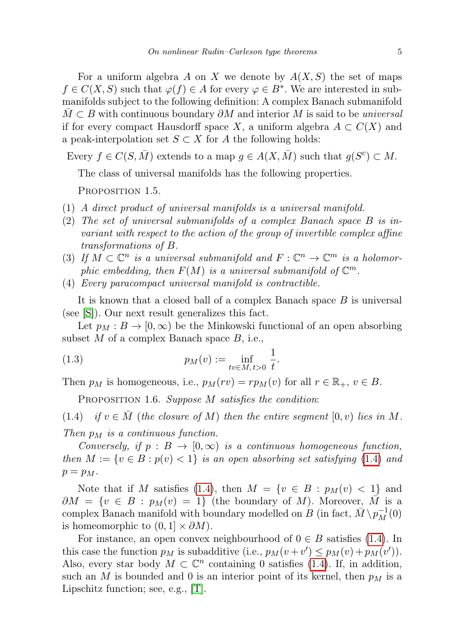For a uniform algebra A on X we denote by  $A(X, S)$  the set of maps  $f \in C(X, S)$  such that  $\varphi(f) \in A$  for every  $\varphi \in B^*$ . We are interested in submanifolds subject to the following definition: A complex Banach submanifold  $M \subset B$  with continuous boundary  $\partial M$  and interior M is said to be universal if for every compact Hausdorff space X, a uniform algebra  $A \subset C(X)$  and a peak-interpolation set  $S \subset X$  for A the following holds:

Every  $f \in C(S, \overline{M})$  extends to a map  $g \in A(X, \overline{M})$  such that  $g(S^c) \subset M$ .

The class of universal manifolds has the following properties.

<span id="page-4-1"></span>Proposition 1.5.

- (1) A direct product of universal manifolds is a universal manifold.
- (2) The set of universal submanifolds of a complex Banach space B is invariant with respect to the action of the group of invertible complex affine transformations of B.
- (3) If  $M \subset \mathbb{C}^n$  is a universal submanifold and  $F: \mathbb{C}^n \to \mathbb{C}^m$  is a holomorphic embedding, then  $F(M)$  is a universal submanifold of  $\mathbb{C}^m$ .
- (4) Every paracompact universal manifold is contractible.

It is known that a closed ball of a complex Banach space B is universal (see [\[S\]](#page-15-6)). Our next result generalizes this fact.

Let  $p_M : B \to [0, \infty)$  be the Minkowski functional of an open absorbing subset  $M$  of a complex Banach space  $B$ , i.e.,

(1.3) 
$$
p_M(v) := \inf_{tv \in M, t > 0} \frac{1}{t}.
$$

<span id="page-4-2"></span>Then  $p_M$  is homogeneous, i.e.,  $p_M(rv) = rp_M(v)$  for all  $r \in \mathbb{R}_+$ ,  $v \in B$ .

<span id="page-4-0"></span>PROPOSITION 1.6. Suppose M satisfies the condition:

(1.4) if  $v \in M$  (the closure of M) then the entire segment [0, v) lies in M. Then  $p_M$  is a continuous function.

Conversely, if  $p : B \to [0, \infty)$  is a continuous homogeneous function, then  $M := \{v \in B : p(v) < 1\}$  is an open absorbing set satisfying [\(1.4\)](#page-4-0) and  $p = p_M$ .

Note that if M satisfies [\(1.4\)](#page-4-0), then  $M = \{v \in B : p_M(v) < 1\}$  and  $\partial M = \{v \in B : p_M(v) = 1\}$  (the boundary of M). Moreover,  $\overline{M}$  is a complex Banach manifold with boundary modelled on  $B$  (in fact,  $\bar{M} \setminus p_M^{-1}(0)$ is homeomorphic to  $(0, 1] \times \partial M$ ).

For instance, an open convex neighbourhood of  $0 \in B$  satisfies [\(1.4\)](#page-4-0). In this case the function  $p_M$  is subadditive (i.e.,  $p_M(v + v') \leq p_M(v) + p_M(v')$ ). Also, every star body  $M \subset \mathbb{C}^n$  containing 0 satisfies [\(1.4\)](#page-4-0). If, in addition, such an M is bounded and 0 is an interior point of its kernel, then  $p<sub>M</sub>$  is a Lipschitz function; see, e.g., [\[T\]](#page-15-8).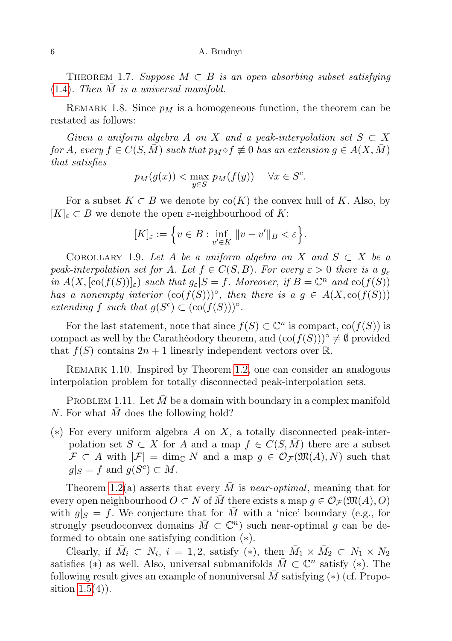<span id="page-5-0"></span>THEOREM 1.7. Suppose  $M \subset B$  is an open absorbing subset satisfying  $(1.4)$ . Then M is a universal manifold.

<span id="page-5-2"></span>REMARK 1.8. Since  $p_M$  is a homogeneous function, the theorem can be restated as follows:

Given a uniform algebra A on X and a peak-interpolation set  $S \subset X$ for A, every  $f \in C(S, \overline{M})$  such that  $p_M \circ f \not\equiv 0$  has an extension  $g \in A(X, \overline{M})$ that satisfies

$$
p_M(g(x)) < \max_{y \in S} p_M(f(y)) \quad \forall x \in S^c.
$$

For a subset  $K \subset B$  we denote by  $co(K)$  the convex hull of K. Also, by  $[K]_{\varepsilon} \subset B$  we denote the open  $\varepsilon$ -neighbourhood of K:

$$
[K]_{\varepsilon} := \Big\{ v \in B : \inf_{v' \in K} \|v - v'\|_{B} < \varepsilon \Big\}.
$$

<span id="page-5-1"></span>COROLLARY 1.9. Let A be a uniform algebra on X and  $S \subset X$  be a peak-interpolation set for A. Let  $f \in C(S, B)$ . For every  $\varepsilon > 0$  there is a  $g_{\varepsilon}$ in  $A(X, [\text{co}(f(S))]_{\varepsilon})$  such that  $g_{\varepsilon}|S = f$ . Moreover, if  $B = \mathbb{C}^n$  and  $\text{co}(f(S))$ has a nonempty interior  $(\text{co}(f(S)))^{\circ}$ , then there is a  $g \in A(X, \text{co}(f(S)))$ extending f such that  $g(S^c) \subset (\text{co}(f(S)))^\circ$ .

For the last statement, note that since  $f(S) \subset \mathbb{C}^n$  is compact,  $co(f(S))$  is compact as well by the Carathéodory theorem, and  $(\text{co}(f(S)))^{\circ} \neq \emptyset$  provided that  $f(S)$  contains  $2n + 1$  linearly independent vectors over  $\mathbb{R}$ .

REMARK 1.10. Inspired by Theorem [1.2,](#page-2-0) one can consider an analogous interpolation problem for totally disconnected peak-interpolation sets.

PROBLEM 1.11. Let  $M$  be a domain with boundary in a complex manifold  $N.$  For what  $M$  does the following hold?

(\*) For every uniform algebra A on X, a totally disconnected peak-interpolation set  $S \subset X$  for A and a map  $f \in C(S, M)$  there are a subset  $\mathcal{F} \subset A$  with  $|\mathcal{F}| = \dim_{\mathbb{C}} N$  and a map  $g \in \mathcal{O}_{\mathcal{F}}(\mathfrak{M}(A), N)$  such that  $g|_S = f$  and  $g(S^c) \subset M$ .

Theorem [1.2\(](#page-2-0)a) asserts that every  $\overline{M}$  is near-optimal, meaning that for every open neighbourhood  $O \subset N$  of  $\overline{M}$  there exists a map  $g \in \mathcal{O}_{\mathcal{F}}(\mathfrak{M}(A), O)$ with  $g|_{S} = f$ . We conjecture that for  $\overline{M}$  with a 'nice' boundary (e.g., for strongly pseudoconvex domains  $\overline{M} \subset \mathbb{C}^n$  such near-optimal g can be deformed to obtain one satisfying condition (∗).

Clearly, if  $\overline{M}_i \subset N_i$ ,  $i = 1, 2$ , satisfy (\*), then  $\overline{M}_1 \times \overline{M}_2 \subset N_1 \times N_2$ satisfies (\*) as well. Also, universal submanifolds  $\overline{M} \subset \mathbb{C}^n$  satisfy (\*). The following result gives an example of nonuniversal  $\overline{M}$  satisfying (\*) (cf. Proposition  $1.5(4)$ ).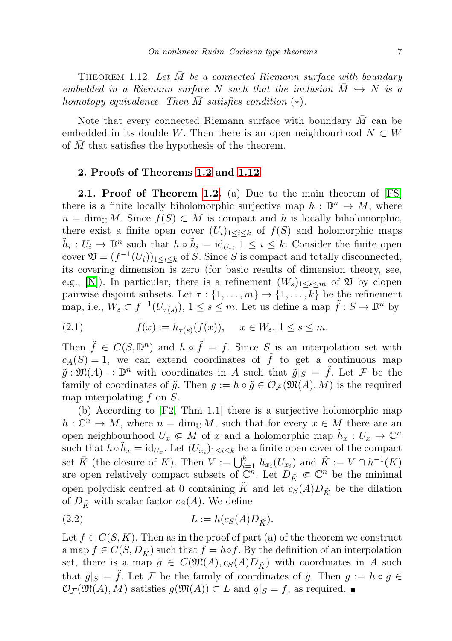<span id="page-6-0"></span>THEOREM 1.12. Let  $\overline{M}$  be a connected Riemann surface with boundary embedded in a Riemann surface N such that the inclusion  $M \hookrightarrow N$  is a homotopy equivalence. Then M satisfies condition  $(*)$ .

Note that every connected Riemann surface with boundary  $\overline{M}$  can be embedded in its double W. Then there is an open neighbourhood  $N \subset W$ of  $M$  that satisfies the hypothesis of the theorem.

# 2. Proofs of Theorems [1.2](#page-2-0) and [1.12](#page-6-0)

2.1. Proof of Theorem [1.2.](#page-2-0) (a) Due to the main theorem of [\[FS\]](#page-15-9) there is a finite locally biholomorphic surjective map  $h: \mathbb{D}^n \to M$ , where  $n = \dim_{\mathbb{C}} M$ . Since  $f(S) \subset M$  is compact and h is locally biholomorphic, there exist a finite open cover  $(U_i)_{1 \leq i \leq k}$  of  $f(S)$  and holomorphic maps  $\tilde{h}_i: U_i \to \mathbb{D}^n$  such that  $h \circ \tilde{h}_i = \text{id}_{U_i}$ ,  $1 \leq i \leq k$ . Consider the finite open cover  $\mathfrak{V} = (f^{-1}(U_i))_{1 \leq i \leq k}$  of S. Since S is compact and totally disconnected, its covering dimension is zero (for basic results of dimension theory, see, e.g., [\[N\]](#page-15-10)). In particular, there is a refinement  $(W_s)_{1 \leq s \leq m}$  of  $\mathfrak V$  by clopen pairwise disjoint subsets. Let  $\tau : \{1, \ldots, m\} \to \{1, \ldots, k\}$  be the refinement map, i.e.,  $W_s \subset f^{-1}(U_{\tau(s)})$ ,  $1 \leq s \leq m$ . Let us define a map  $\tilde{f}: S \to \mathbb{D}^n$  by

(2.1) 
$$
\tilde{f}(x) := \tilde{h}_{\tau(s)}(f(x)), \quad x \in W_s, 1 \le s \le m.
$$

Then  $\tilde{f} \in C(S, \mathbb{D}^n)$  and  $h \circ \tilde{f} = f$ . Since S is an interpolation set with  $c_A(S) = 1$ , we can extend coordinates of  $\tilde{f}$  to get a continuous map  $\tilde{g}: \mathfrak{M}(A) \to \mathbb{D}^n$  with coordinates in A such that  $\tilde{g}|_S = \tilde{f}$ . Let F be the family of coordinates of  $\tilde{g}$ . Then  $g := h \circ \tilde{g} \in \mathcal{O}_{\mathcal{F}}(\mathfrak{M}(A), M)$  is the required map interpolating  $f$  on  $S$ .

(b) According to [\[F2,](#page-15-11) Thm. 1.1] there is a surjective holomorphic map  $h: \mathbb{C}^n \to M$ , where  $n = \dim_{\mathbb{C}} M$ , such that for every  $x \in M$  there are an open neighbourhood  $U_x \in M$  of x and a holomorphic map  $\tilde{h}_x : U_x \to \mathbb{C}^n$ such that  $h \circ \tilde{h}_x = id_{U_x}$ . Let  $(U_{x_i})_{1 \leq i \leq k}$  be a finite open cover of the compact set  $\bar{K}$  (the closure of K). Then  $V := \bigcup_{i=1}^k \tilde{h}_{x_i}(U_{x_i})$  and  $\tilde{K} := V \cap h^{-1}(K)$ are open relatively compact subsets of  $\mathbb{C}^n$ . Let  $D_{\tilde{K}} \in \mathbb{C}^n$  be the minimal open polydisk centred at 0 containing  $\tilde{K}$  and let  $c_S(A)D_{\tilde{K}}$  be the dilation of  $D_{\tilde{K}}$  with scalar factor  $c_S(A)$ . We define

$$
(2.2) \t\t\t L := h(c_S(A)D_{\tilde{K}}).
$$

Let  $f \in C(S, K)$ . Then as in the proof of part (a) of the theorem we construct a map  $\tilde{f} \in C(S, D_{\tilde{K}})$  such that  $f = h \circ \tilde{f}$ . By the definition of an interpolation set, there is a map  $\tilde{g} \in C(\mathfrak{M}(A), c_S(A)D_{\tilde{K}})$  with coordinates in A such that  $\tilde{g}|_S = \tilde{f}$ . Let F be the family of coordinates of  $\tilde{g}$ . Then  $g := h \circ \tilde{g} \in$  $\mathcal{O}_{\mathcal{F}}(\mathfrak{M}(A), M)$  satisfies  $g(\mathfrak{M}(A)) \subset L$  and  $g|_S = f$ , as required.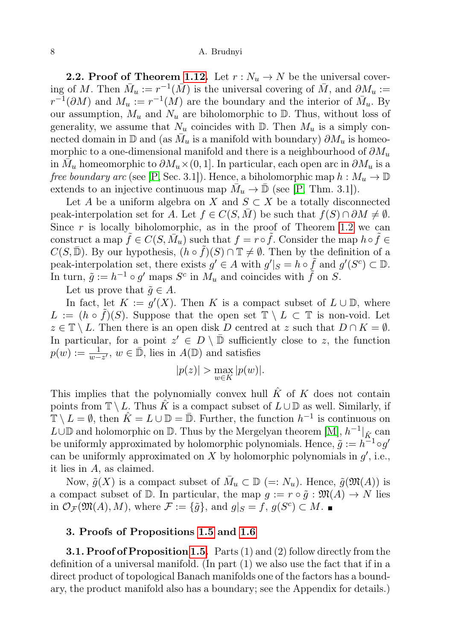**2.2. Proof of Theorem [1.12.](#page-6-0)** Let  $r : N_u \to N$  be the universal covering of M. Then  $\bar{M}_u := r^{-1}(\bar{M})$  is the universal covering of  $\bar{M}$ , and  $\partial M_u :=$  $r^{-1}(\partial M)$  and  $M_u := r^{-1}(M)$  are the boundary and the interior of  $\bar{M}_u$ . By our assumption,  $M_u$  and  $N_u$  are biholomorphic to  $\mathbb D$ . Thus, without loss of generality, we assume that  $N_u$  coincides with  $\mathbb{D}$ . Then  $M_u$  is a simply connected domain in  $\mathbb D$  and (as  $\bar{M}_u$  is a manifold with boundary)  $\partial M_u$  is homeomorphic to a one-dimensional manifold and there is a neighbourhood of  $\partial M_u$ in  $\bar{M_u}$  homeomorphic to  $\partial M_u \times (0,1]$ . In particular, each open arc in  $\partial M_u$  is a free boundary arc (see [\[P,](#page-15-12) Sec. 3.1]). Hence, a biholomorphic map  $h : M_u \to \mathbb{D}$ extends to an injective continuous map  $\overline{M}_u \to \overline{\mathbb{D}}$  (see [\[P,](#page-15-12) Thm. 3.1]).

Let A be a uniform algebra on X and  $S \subset X$  be a totally disconnected peak-interpolation set for A. Let  $f \in C(S, \overline{M})$  be such that  $f(S) \cap \partial M \neq \emptyset$ . Since  $r$  is locally biholomorphic, as in the proof of Theorem [1.2](#page-2-0) we can construct a map  $\tilde{f} \in C(S, \bar{M}_u)$  such that  $f = r \circ \tilde{f}$ . Consider the map  $h \circ \tilde{f} \in$  $C(S,\bar{\mathbb{D}})$ . By our hypothesis,  $(h \circ \tilde{f})(S) \cap \mathbb{T} \neq \emptyset$ . Then by the definition of a peak-interpolation set, there exists  $g' \in A$  with  $g'|_S = h \circ \tilde{f}$  and  $g'(S^c) \subset \mathbb{D}$ . In turn,  $\tilde{g} := h^{-1} \circ g'$  maps  $S^c$  in  $M_u$  and coincides with  $\tilde{f}$  on  $S$ .

Let us prove that  $\tilde{g} \in A$ .

In fact, let  $K := g'(X)$ . Then K is a compact subset of  $L \cup \mathbb{D}$ , where  $L := (h \circ \tilde{f})(S)$ . Suppose that the open set  $\mathbb{T} \setminus L \subset \mathbb{T}$  is non-void. Let  $z \in \mathbb{T} \setminus L$ . Then there is an open disk D centred at z such that  $D \cap K = \emptyset$ . In particular, for a point  $z' \in D \setminus \overline{D}$  sufficiently close to z, the function  $p(w) := \frac{1}{w - z'}$ ,  $w \in \overline{\mathbb{D}}$ , lies in  $A(\mathbb{D})$  and satisfies

$$
|p(z)| > \max_{w \in K} |p(w)|.
$$

This implies that the polynomially convex hull  $\hat{K}$  of K does not contain points from  $\mathbb{T} \setminus L$ . Thus  $\hat{K}$  is a compact subset of  $L \cup \mathbb{D}$  as well. Similarly, if  $\mathbb{T} \setminus L = \emptyset$ , then  $\hat{K} = L \cup \mathbb{D} = \bar{\mathbb{D}}$ . Further, the function  $h^{-1}$  is continuous on  $L \cup \mathbb{D}$  and holomorphic on  $\mathbb{D}$ . Thus by the Mergelyan theorem [\[M\]](#page-15-13),  $h^{-1}|_{\hat{K}}$  can be uniformly approximated by holomorphic polynomials. Hence,  $\tilde{g} := h^{-1} \circ g'$ can be uniformly approximated on  $X$  by holomorphic polynomials in  $g'$ , i.e., it lies in A, as claimed.

Now,  $\tilde{g}(X)$  is a compact subset of  $\overline{M}_u \subset \mathbb{D}$  (=:  $N_u$ ). Hence,  $\tilde{g}(\mathfrak{M}(A))$  is a compact subset of  $\mathbb D$ . In particular, the map  $g := r \circ \tilde{g} : \mathfrak{M}(A) \to N$  lies in  $\mathcal{O}_{\mathcal{F}}(\mathfrak{M}(A), M)$ , where  $\mathcal{F} := \{ \tilde{g} \}$ , and  $g|_S = f, g(S^c) \subset M$ .

# 3. Proofs of Propositions [1.5](#page-4-1) and [1.6](#page-4-2)

**3.1. Proof of Proposition [1.5.](#page-4-1)** Parts  $(1)$  and  $(2)$  follow directly from the definition of a universal manifold. (In part (1) we also use the fact that if in a direct product of topological Banach manifolds one of the factors has a boundary, the product manifold also has a boundary; see the Appendix for details.)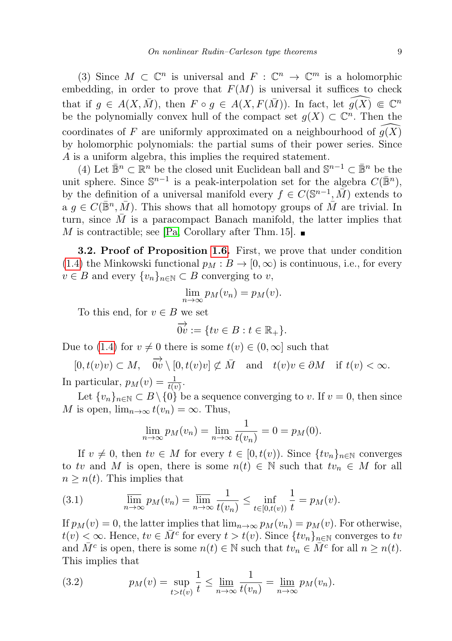(3) Since  $M \subset \mathbb{C}^n$  is universal and  $F : \mathbb{C}^n \to \mathbb{C}^m$  is a holomorphic embedding, in order to prove that  $F(M)$  is universal it suffices to check that if  $g \in A(X, \overline{M})$ , then  $F \circ g \in A(X, F(\overline{M}))$ . In fact, let  $\widehat{g(X)} \Subset \mathbb{C}^n$ be the polynomially convex hull of the compact set  $g(X) \subset \mathbb{C}^n$ . Then the coordinates of F are uniformly approximated on a neighbourhood of  $g(X)$ by holomorphic polynomials: the partial sums of their power series. Since A is a uniform algebra, this implies the required statement.

(4) Let  $\mathbb{B}^n \subset \mathbb{R}^n$  be the closed unit Euclidean ball and  $\mathbb{S}^{n-1} \subset \mathbb{B}^n$  be the unit sphere. Since  $\mathbb{S}^{n-1}$  is a peak-interpolation set for the algebra  $C(\bar{\mathbb{B}}^n)$ , by the definition of a universal manifold every  $f \in C(\mathbb{S}^{n-1}, \overline{M})$  extends to a  $g \in C(\bar{\mathbb{B}}^n, \bar{M})$ . This shows that all homotopy groups of  $\bar{M}$  are trivial. In turn, since  $\overline{M}$  is a paracompact Banach manifold, the latter implies that M is contractible; see [\[Pa,](#page-15-14) Corollary after Thm. 15].  $\blacksquare$ 

**3.2. Proof of Proposition [1.6.](#page-4-2)** First, we prove that under condition [\(1.4\)](#page-4-0) the Minkowski functional  $p_M : B \to [0, \infty)$  is continuous, i.e., for every  $v \in B$  and every  $\{v_n\}_{n \in \mathbb{N}} \subset B$  converging to v,

$$
\lim_{n\to\infty}p_M(v_n)=p_M(v).
$$

To this end, for  $v \in B$  we set

$$
\overrightarrow{0v} := \{ tv \in B : t \in \mathbb{R}_+ \}.
$$

Due to [\(1.4\)](#page-4-0) for  $v \neq 0$  there is some  $t(v) \in (0, \infty]$  such that

 $[0, t(v)v] \subset M$ ,  $\overrightarrow{0v} \setminus [0, t(v)v] \not\subset \overline{M}$  and  $t(v)v \in \partial M$  if  $t(v) < \infty$ . In particular,  $p_M(v) = \frac{1}{t(v)}$ .

Let  $\{v_n\}_{n\in\mathbb{N}}\subset B\setminus\{0\}$  be a sequence converging to v. If  $v=0$ , then since M is open,  $\lim_{n\to\infty} t(v_n) = \infty$ . Thus,

$$
\lim_{n \to \infty} p_M(v_n) = \lim_{n \to \infty} \frac{1}{t(v_n)} = 0 = p_M(0).
$$

If  $v \neq 0$ , then  $tv \in M$  for every  $t \in [0, t(v))$ . Since  $\{tv_n\}_{n \in \mathbb{N}}$  converges to tv and M is open, there is some  $n(t) \in \mathbb{N}$  such that  $tv_n \in M$  for all  $n \geq n(t)$ . This implies that

<span id="page-8-0"></span>(3.1) 
$$
\overline{\lim}_{n \to \infty} p_M(v_n) = \overline{\lim}_{n \to \infty} \frac{1}{t(v_n)} \le \inf_{t \in [0, t(v))} \frac{1}{t} = p_M(v).
$$

If  $p_M(v) = 0$ , the latter implies that  $\lim_{n\to\infty} p_M(v_n) = p_M(v)$ . For otherwise,  $t(v) < \infty$ . Hence,  $tv \in \overline{M}^c$  for every  $t > t(v)$ . Since  $\{tv_n\}_{n \in \mathbb{N}}$  converges to to and  $\overline{M}^c$  is open, there is some  $n(t) \in \mathbb{N}$  such that  $tv_n \in \overline{M}^c$  for all  $n \geq n(t)$ . This implies that

<span id="page-8-1"></span>(3.2) 
$$
p_M(v) = \sup_{t > t(v)} \frac{1}{t} \le \lim_{n \to \infty} \frac{1}{t(v_n)} = \lim_{n \to \infty} p_M(v_n).
$$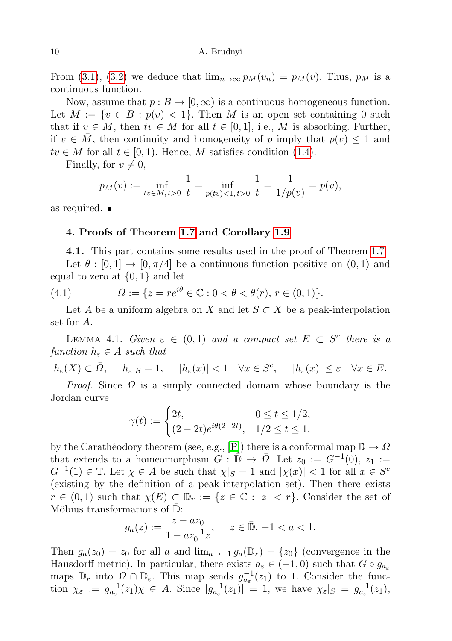From [\(3.1\)](#page-8-0), [\(3.2\)](#page-8-1) we deduce that  $\lim_{n\to\infty} p_M(v_n) = p_M(v)$ . Thus,  $p_M$  is a continuous function.

Now, assume that  $p: B \to [0, \infty)$  is a continuous homogeneous function. Let  $M := \{v \in B : p(v) < 1\}$ . Then M is an open set containing 0 such that if  $v \in M$ , then  $tv \in M$  for all  $t \in [0,1]$ , i.e., M is absorbing. Further, if  $v \in M$ , then continuity and homogeneity of p imply that  $p(v) \leq 1$  and  $tv \in M$  for all  $t \in [0,1)$ . Hence, M satisfies condition [\(1.4\)](#page-4-0).

Finally, for  $v \neq 0$ ,

$$
p_M(v) := \inf_{tv \in M, t > 0} \frac{1}{t} = \inf_{p(tv) < 1, t > 0} \frac{1}{t} = \frac{1}{1/p(v)} = p(v),
$$

as required.

# 4. Proofs of Theorem [1.7](#page-5-0) and Corollary [1.9](#page-5-1)

4.1. This part contains some results used in the proof of Theorem [1.7.](#page-5-0) Let  $\theta : [0, 1] \to [0, \pi/4]$  be a continuous function positive on  $(0, 1)$  and equal to zero at  $\{0,1\}$  and let

(4.1) 
$$
\Omega := \{ z = re^{i\theta} \in \mathbb{C} : 0 < \theta < \theta(r), r \in (0,1) \}.
$$

Let A be a uniform algebra on X and let  $S \subset X$  be a peak-interpolation set for A.

<span id="page-9-0"></span>LEMMA 4.1. Given  $\varepsilon \in (0,1)$  and a compact set  $E \subset S^c$  there is a function  $h_{\varepsilon} \in A$  such that

$$
h_{\varepsilon}(X) \subset \bar{\Omega}, \quad h_{\varepsilon}|_{S} = 1, \quad |h_{\varepsilon}(x)| < 1 \quad \forall x \in S^{c}, \quad |h_{\varepsilon}(x)| \leq \varepsilon \quad \forall x \in E.
$$

*Proof.* Since  $\Omega$  is a simply connected domain whose boundary is the Jordan curve

$$
\gamma(t) := \begin{cases} 2t, & 0 \le t \le 1/2, \\ (2 - 2t)e^{i\theta(2 - 2t)}, & 1/2 \le t \le 1, \end{cases}
$$

by the Carathéodory theorem (see, e.g., [\[P\]](#page-15-12)) there is a conformal map  $\mathbb{D} \to \Omega$ that extends to a homeomorphism  $G: \mathbb{D} \to \overline{\Omega}$ . Let  $z_0 := G^{-1}(0), z_1 :=$  $G^{-1}(1) \in \mathbb{T}$ . Let  $\chi \in A$  be such that  $\chi|_S = 1$  and  $|\chi(x)| < 1$  for all  $x \in S^c$ (existing by the definition of a peak-interpolation set). Then there exists  $r \in (0,1)$  such that  $\chi(E) \subset \mathbb{D}_r := \{z \in \mathbb{C} : |z| < r\}$ . Consider the set of Möbius transformations of  $\mathbb{D}$ :

$$
g_a(z) := \frac{z - az_0}{1 - az_0^{-1}z}, \quad z \in \bar{\mathbb{D}}, -1 < a < 1.
$$

Then  $g_a(z_0) = z_0$  for all a and  $\lim_{a \to -1} g_a(\mathbb{D}_r) = \{z_0\}$  (convergence in the Hausdorff metric). In particular, there exists  $a_{\varepsilon} \in (-1,0)$  such that  $G \circ g_{a_{\varepsilon}}$ maps  $\mathbb{D}_r$  into  $\Omega \cap \mathbb{D}_\varepsilon$ . This map sends  $g_{a_\varepsilon}^{-1}(z_1)$  to 1. Consider the function  $\chi_{\varepsilon} := g_{a_{\varepsilon}}^{-1}(z_1)\chi \in A$ . Since  $|g_{a_{\varepsilon}}^{-1}(z_1)| = 1$ , we have  $\chi_{\varepsilon}|_{S} = g_{a_{\varepsilon}}^{-1}(z_1)$ ,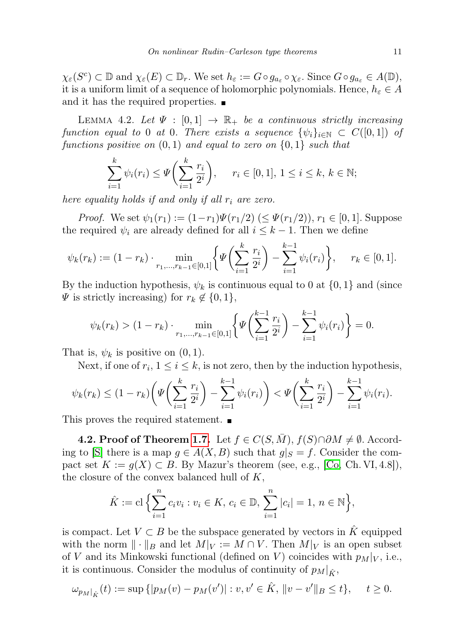$\chi_{\varepsilon}(S^c) \subset \mathbb{D}$  and  $\chi_{\varepsilon}(E) \subset \mathbb{D}_r$ . We set  $h_{\varepsilon} := G \circ g_{a_{\varepsilon}} \circ \chi_{\varepsilon}$ . Since  $G \circ g_{a_{\varepsilon}} \in A(\mathbb{D})$ , it is a uniform limit of a sequence of holomorphic polynomials. Hence,  $h_{\varepsilon} \in A$ and it has the required properties.  $\blacksquare$ 

<span id="page-10-0"></span>LEMMA 4.2. Let  $\Psi : [0,1] \rightarrow \mathbb{R}_+$  be a continuous strictly increasing function equal to 0 at 0. There exists a sequence  $\{\psi_i\}_{i\in\mathbb{N}} \subset C([0,1])$  of functions positive on  $(0, 1)$  and equal to zero on  $\{0, 1\}$  such that

$$
\sum_{i=1}^{k} \psi_i(r_i) \le \Psi\bigg(\sum_{i=1}^{k} \frac{r_i}{2^i}\bigg), \quad r_i \in [0, 1], \ 1 \le i \le k, \ k \in \mathbb{N};
$$

here equality holds if and only if all  $r_i$  are zero.

*Proof.* We set  $\psi_1(r_1) := (1-r_1)\Psi(r_1/2) \ (\leq \Psi(r_1/2)), r_1 \in [0,1].$  Suppose the required  $\psi_i$  are already defined for all  $i \leq k-1$ . Then we define

$$
\psi_k(r_k) := (1 - r_k) \cdot \min_{r_1, \dots, r_{k-1} \in [0, 1]} \left\{ \Psi \left( \sum_{i=1}^k \frac{r_i}{2^i} \right) - \sum_{i=1}^{k-1} \psi_i(r_i) \right\}, \quad r_k \in [0, 1].
$$

By the induction hypothesis,  $\psi_k$  is continuous equal to 0 at  $\{0,1\}$  and (since  $\Psi$  is strictly increasing) for  $r_k \notin \{0,1\},\$ 

$$
\psi_k(r_k) > (1 - r_k) \cdot \min_{r_1, \dots, r_{k-1} \in [0,1]} \left\{ \Psi \left( \sum_{i=1}^{k-1} \frac{r_i}{2^i} \right) - \sum_{i=1}^{k-1} \psi_i(r_i) \right\} = 0.
$$

That is,  $\psi_k$  is positive on  $(0, 1)$ .

Next, if one of  $r_i$ ,  $1 \le i \le k$ , is not zero, then by the induction hypothesis,

$$
\psi_k(r_k) \le (1 - r_k) \left( \Psi \left( \sum_{i=1}^k \frac{r_i}{2^i} \right) - \sum_{i=1}^{k-1} \psi_i(r_i) \right) < \Psi \left( \sum_{i=1}^k \frac{r_i}{2^i} \right) - \sum_{i=1}^{k-1} \psi_i(r_i).
$$

This proves the required statement.

**4.2. Proof of Theorem [1.7.](#page-5-0)** Let  $f \in C(S, \overline{M})$ ,  $f(S) \cap \partial M \neq \emptyset$ . Accord-ing to [\[S\]](#page-15-6) there is a map  $g \in A(X, B)$  such that  $g|_S = f$ . Consider the compact set  $K := g(X) \subset B$ . By Mazur's theorem (see, e.g., [\[Co,](#page-15-15) Ch. VI, 4.8]), the closure of the convex balanced hull of  $K$ ,

$$
\hat{K} := \mathbf{cl} \left\{ \sum_{i=1}^{n} c_i v_i : v_i \in K, \, c_i \in \mathbb{D}, \, \sum_{i=1}^{n} |c_i| = 1, \, n \in \mathbb{N} \right\},\
$$

is compact. Let  $V \subset B$  be the subspace generated by vectors in K equipped with the norm  $\|\cdot\|_B$  and let  $M|_V := M \cap V$ . Then  $M|_V$  is an open subset of V and its Minkowski functional (defined on V) coincides with  $p_M|_V$ , i.e., it is continuous. Consider the modulus of continuity of  $p_M|_{\hat{K}}$ ,

$$
\omega_{p_M|_{\hat{K}}}(t) := \sup \{|p_M(v) - p_M(v')| : v, v' \in \hat{K}, ||v - v'||_B \le t\}, \quad t \ge 0.
$$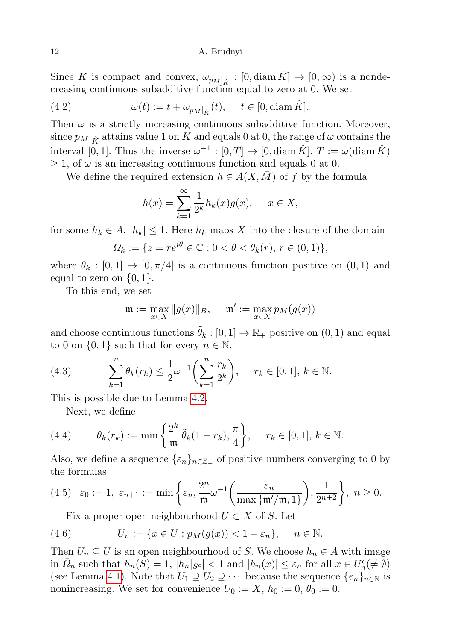Since K is compact and convex,  $\omega_{p_M|_{\hat{K}}} : [0, \text{diam }\hat{K}] \to [0, \infty)$  is a nondecreasing continuous subadditive function equal to zero at 0. We set

(4.2) 
$$
\omega(t) := t + \omega_{p_M|_{\hat{K}}}(t), \quad t \in [0, \text{diam }\hat{K}].
$$

Then  $\omega$  is a strictly increasing continuous subadditive function. Moreover, since  $p_M|_{\hat{K}}$  attains value 1 on K and equals 0 at 0, the range of  $\omega$  contains the interval [0, 1]. Thus the inverse  $\omega^{-1} : [0, T] \to [0, \text{diam }\hat{K}], T := \omega(\text{diam }\hat{K})$  $\geq 1$ , of  $\omega$  is an increasing continuous function and equals 0 at 0.

We define the required extension  $h \in A(X, \overline{M})$  of f by the formula

$$
h(x) = \sum_{k=1}^{\infty} \frac{1}{2^k} h_k(x) g(x), \quad x \in X,
$$

for some  $h_k \in A$ ,  $|h_k| \leq 1$ . Here  $h_k$  maps X into the closure of the domain

$$
\Omega_k := \{ z = re^{i\theta} \in \mathbb{C} : 0 < \theta < \theta_k(r), \, r \in (0, 1) \},
$$

where  $\theta_k : [0, 1] \to [0, \pi/4]$  is a continuous function positive on  $(0, 1)$  and equal to zero on  $\{0, 1\}.$ 

To this end, we set

$$
\mathfrak{m} := \max_{x \in X} \|g(x)\|_B, \quad \mathfrak{m}' := \max_{x \in X} p_M(g(x))
$$

and choose continuous functions  $\tilde{\theta}_k : [0, 1] \to \mathbb{R}_+$  positive on  $(0, 1)$  and equal to 0 on  $\{0,1\}$  such that for every  $n \in \mathbb{N}$ ,

<span id="page-11-1"></span>(4.3) 
$$
\sum_{k=1}^{n} \tilde{\theta}_{k}(r_{k}) \leq \frac{1}{2} \omega^{-1} \left( \sum_{k=1}^{n} \frac{r_{k}}{2^{k}} \right), \quad r_{k} \in [0, 1], k \in \mathbb{N}.
$$

This is possible due to Lemma [4.2.](#page-10-0)

<span id="page-11-2"></span>Next, we define

(4.4) 
$$
\theta_k(r_k) := \min\left\{\frac{2^k}{\mathfrak{m}} \tilde{\theta}_k(1 - r_k), \frac{\pi}{4}\right\}, \quad r_k \in [0, 1], k \in \mathbb{N}.
$$

Also, we define a sequence  $\{\varepsilon_n\}_{n\in\mathbb{Z}_+}$  of positive numbers converging to 0 by the formulas

<span id="page-11-0"></span>
$$
(4.5) \quad \varepsilon_0 := 1, \ \varepsilon_{n+1} := \min\left\{\varepsilon_n, \frac{2^n}{\mathfrak{m}} \omega^{-1}\left(\frac{\varepsilon_n}{\max\left\{\mathfrak{m}'/\mathfrak{m}, 1\right\}}\right), \frac{1}{2^{n+2}}\right\}, \ n \ge 0.
$$

Fix a proper open neighbourhood  $U \subset X$  of S. Let

(4.6) 
$$
U_n := \{x \in U : p_M(g(x)) < 1 + \varepsilon_n\}, \quad n \in \mathbb{N}.
$$

Then  $U_n \subseteq U$  is an open neighbourhood of S. We choose  $h_n \in A$  with image in  $\overline{\Omega}_n$  such that  $h_n(\overline{S}) = 1$ ,  $|h_n|_{S^c}| < 1$  and  $|h_n(x)| \leq \varepsilon_n$  for all  $x \in U_n^c(\neq \emptyset)$ (see Lemma [4.1\)](#page-9-0). Note that  $U_1 \supseteq U_2 \supseteq \cdots$  because the sequence  $\{\varepsilon_n\}_{n\in\mathbb{N}}$  is nonincreasing. We set for convenience  $U_0 := X$ ,  $h_0 := 0$ ,  $\theta_0 := 0$ .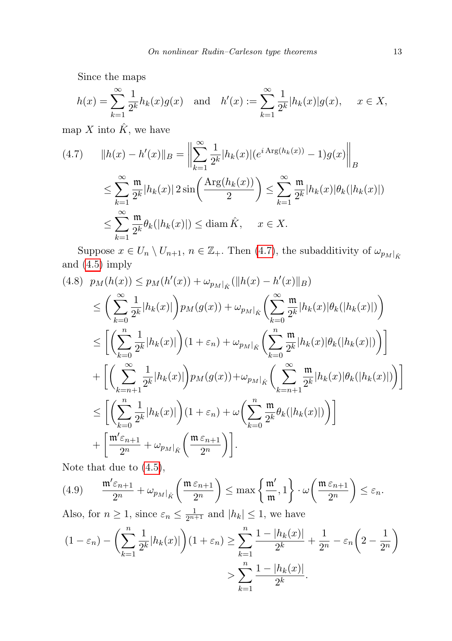Since the maps

$$
h(x) = \sum_{k=1}^{\infty} \frac{1}{2^k} h_k(x) g(x)
$$
 and  $h'(x) := \sum_{k=1}^{\infty} \frac{1}{2^k} |h_k(x)| g(x), \quad x \in X$ ,

map X into  $\hat{K}$ , we have

<span id="page-12-0"></span>
$$
(4.7) \qquad ||h(x) - h'(x)||_B = \left\| \sum_{k=1}^{\infty} \frac{1}{2^k} |h_k(x)| (e^{i \operatorname{Arg}(h_k(x))} - 1) g(x)| \right\|_B
$$
  

$$
\leq \sum_{k=1}^{\infty} \frac{\mathfrak{m}}{2^k} |h_k(x)| 2 \sin \left( \frac{\operatorname{Arg}(h_k(x))}{2} \right) \leq \sum_{k=1}^{\infty} \frac{\mathfrak{m}}{2^k} |h_k(x)| \theta_k(|h_k(x)|)
$$
  

$$
\leq \sum_{k=1}^{\infty} \frac{\mathfrak{m}}{2^k} \theta_k(|h_k(x)|) \leq \operatorname{diam} \hat{K}, \quad x \in X.
$$

Suppose  $x \in U_n \setminus U_{n+1}$ ,  $n \in \mathbb{Z}_+$ . Then [\(4.7\)](#page-12-0), the subadditivity of  $\omega_{p_M}|_{\hat{K}}$ and [\(4.5\)](#page-11-0) imply

<span id="page-12-2"></span>
$$
(4.8) \quad p_M(h(x)) \leq p_M(h'(x)) + \omega_{p_M|_{\hat{K}}}(\|h(x) - h'(x)\|_{B})
$$
  
\n
$$
\leq \left(\sum_{k=0}^{\infty} \frac{1}{2^k} |h_k(x)| \right) p_M(g(x)) + \omega_{p_M|_{\hat{K}}} \left(\sum_{k=0}^{\infty} \frac{\mathfrak{m}}{2^k} |h_k(x)| \theta_k(|h_k(x)|) \right)
$$
  
\n
$$
\leq \left[ \left(\sum_{k=0}^n \frac{1}{2^k} |h_k(x)| \right) (1 + \varepsilon_n) + \omega_{p_M|_{\hat{K}}} \left(\sum_{k=0}^n \frac{\mathfrak{m}}{2^k} |h_k(x)| \theta_k(|h_k(x)|) \right) \right]
$$
  
\n
$$
+ \left[ \left(\sum_{k=n+1}^{\infty} \frac{1}{2^k} |h_k(x)| \right) p_M(g(x)) + \omega_{p_M|_{\hat{K}}} \left(\sum_{k=n+1}^{\infty} \frac{\mathfrak{m}}{2^k} |h_k(x)| \theta_k(|h_k(x)|) \right) \right]
$$
  
\n
$$
\leq \left[ \left(\sum_{k=0}^n \frac{1}{2^k} |h_k(x)| \right) (1 + \varepsilon_n) + \omega \left(\sum_{k=0}^n \frac{\mathfrak{m}}{2^k} \theta_k(|h_k(x)|) \right) \right]
$$
  
\n
$$
+ \left[ \frac{\mathfrak{m}' \varepsilon_{n+1}}{2^n} + \omega_{p_M|_{\hat{K}}} \left(\frac{\mathfrak{m} \varepsilon_{n+1}}{2^n}\right) \right].
$$

Note that due to [\(4.5\)](#page-11-0),

<span id="page-12-1"></span>
$$
(4.9) \qquad \frac{\mathfrak{m}'\varepsilon_{n+1}}{2^n} + \omega_{p_M|_{\hat{K}}} \left( \frac{\mathfrak{m} \varepsilon_{n+1}}{2^n} \right) \leq \max \left\{ \frac{\mathfrak{m}'}{\mathfrak{m}}, 1 \right\} \cdot \omega \left( \frac{\mathfrak{m} \varepsilon_{n+1}}{2^n} \right) \leq \varepsilon_n.
$$

Also, for  $n \geq 1$ , since  $\varepsilon_n \leq \frac{1}{2^{n+1}}$  and  $|h_k| \leq 1$ , we have

$$
(1 - \varepsilon_n) - \left(\sum_{k=1}^n \frac{1}{2^k} |h_k(x)|\right) (1 + \varepsilon_n) \ge \sum_{k=1}^n \frac{1 - |h_k(x)|}{2^k} + \frac{1}{2^n} - \varepsilon_n \left(2 - \frac{1}{2^n}\right)
$$

$$
> \sum_{k=1}^n \frac{1 - |h_k(x)|}{2^k}.
$$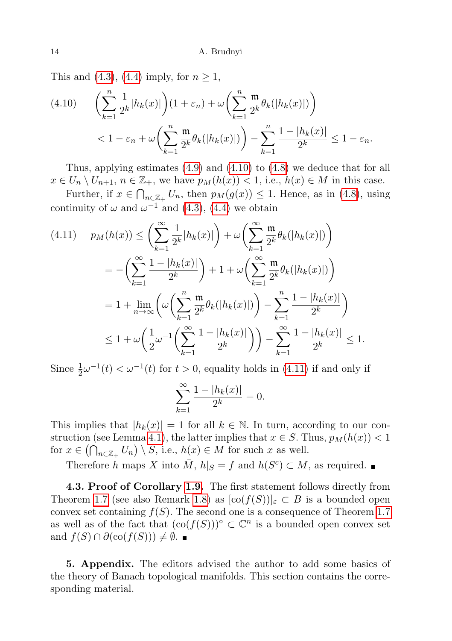This and [\(4.3\)](#page-11-1), [\(4.4\)](#page-11-2) imply, for  $n \geq 1$ ,

<span id="page-13-0"></span>
$$
(4.10) \qquad \left(\sum_{k=1}^{n} \frac{1}{2^k} |h_k(x)|\right) (1+\varepsilon_n) + \omega \left(\sum_{k=1}^{n} \frac{\mathfrak{m}}{2^k} \theta_k(|h_k(x)|)\right)
$$

$$
< 1 - \varepsilon_n + \omega \left(\sum_{k=1}^{n} \frac{\mathfrak{m}}{2^k} \theta_k(|h_k(x)|)\right) - \sum_{k=1}^{n} \frac{1-|h_k(x)|}{2^k} \le 1 - \varepsilon_n.
$$

Thus, applying estimates [\(4.9\)](#page-12-1) and [\(4.10\)](#page-13-0) to [\(4.8\)](#page-12-2) we deduce that for all  $x \in U_n \setminus U_{n+1}, n \in \mathbb{Z}_+$ , we have  $p_M(h(x)) < 1$ , i.e.,  $h(x) \in M$  in this case.

Further, if  $x \in \bigcap_{n \in \mathbb{Z}_+} U_n$ , then  $p_M(g(x)) \leq 1$ . Hence, as in [\(4.8\)](#page-12-2), using continuity of  $\omega$  and  $\omega^{-1}$  and [\(4.3\)](#page-11-1), [\(4.4\)](#page-11-2) we obtain

<span id="page-13-1"></span>
$$
(4.11) \quad p_M(h(x)) \le \left(\sum_{k=1}^{\infty} \frac{1}{2^k} |h_k(x)|\right) + \omega \left(\sum_{k=1}^{\infty} \frac{\mathfrak{m}}{2^k} \theta_k(|h_k(x)|)\right)
$$
  

$$
= -\left(\sum_{k=1}^{\infty} \frac{1 - |h_k(x)|}{2^k}\right) + 1 + \omega \left(\sum_{k=1}^{\infty} \frac{\mathfrak{m}}{2^k} \theta_k(|h_k(x)|)\right)
$$
  

$$
= 1 + \lim_{n \to \infty} \left(\omega \left(\sum_{k=1}^n \frac{\mathfrak{m}}{2^k} \theta_k(|h_k(x)|)\right) - \sum_{k=1}^n \frac{1 - |h_k(x)|}{2^k}\right)
$$
  

$$
\le 1 + \omega \left(\frac{1}{2} \omega^{-1} \left(\sum_{k=1}^{\infty} \frac{1 - |h_k(x)|}{2^k}\right)\right) - \sum_{k=1}^{\infty} \frac{1 - |h_k(x)|}{2^k} \le 1.
$$

Since  $\frac{1}{2}\omega^{-1}(t) < \omega^{-1}(t)$  for  $t > 0$ , equality holds in [\(4.11\)](#page-13-1) if and only if

$$
\sum_{k=1}^{\infty} \frac{1 - |h_k(x)|}{2^k} = 0.
$$

This implies that  $|h_k(x)| = 1$  for all  $k \in \mathbb{N}$ . In turn, according to our con-struction (see Lemma [4.1\)](#page-9-0), the latter implies that  $x \in S$ . Thus,  $p_M(h(x)) < 1$ for  $x \in (\bigcap_{n \in \mathbb{Z}_+} U_n) \setminus S$ , i.e.,  $h(x) \in M$  for such x as well.

Therefore h maps X into  $\overline{M}$ ,  $h|_{S} = f$  and  $h(S^{c}) \subset M$ , as required.

4.3. Proof of Corollary [1.9.](#page-5-1) The first statement follows directly from Theorem [1.7](#page-5-0) (see also Remark [1.8\)](#page-5-2) as  $[\text{co}(f(S))]_{\varepsilon} \subset B$  is a bounded open convex set containing  $f(S)$ . The second one is a consequence of Theorem [1.7](#page-5-0) as well as of the fact that  $(\text{co}(f(S)))^{\circ} \subset \mathbb{C}^{n}$  is a bounded open convex set and  $f(S) \cap \partial(\text{co}(f(S))) \neq \emptyset$ .

5. Appendix. The editors advised the author to add some basics of the theory of Banach topological manifolds. This section contains the corresponding material.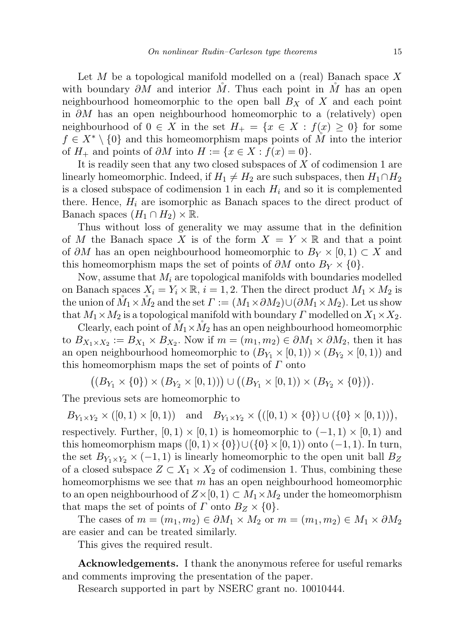Let  $M$  be a topological manifold modelled on a (real) Banach space  $X$ with boundary  $\partial M$  and interior M. Thus each point in M has an open neighbourhood homeomorphic to the open ball  $B_X$  of X and each point in ∂M has an open neighbourhood homeomorphic to a (relatively) open neighbourhood of  $0 \in X$  in the set  $H_+ = \{x \in X : f(x) \geq 0\}$  for some  $f \in X^* \setminus \{0\}$  and this homeomorphism maps points of M into the interior of  $H_+$  and points of  $\partial M$  into  $H := \{x \in X : f(x) = 0\}.$ 

It is readily seen that any two closed subspaces of  $X$  of codimension 1 are linearly homeomorphic. Indeed, if  $H_1 \neq H_2$  are such subspaces, then  $H_1 \cap H_2$ is a closed subspace of codimension 1 in each  $H_i$  and so it is complemented there. Hence,  $H_i$  are isomorphic as Banach spaces to the direct product of Banach spaces  $(H_1 \cap H_2) \times \mathbb{R}$ .

Thus without loss of generality we may assume that in the definition of M the Banach space X is of the form  $X = Y \times \mathbb{R}$  and that a point of ∂M has an open neighbourhood homeomorphic to  $B_Y \times [0,1) \subset X$  and this homeomorphism maps the set of points of  $\partial M$  onto  $B_Y \times \{0\}$ .

Now, assume that  $M_i$  are topological manifolds with boundaries modelled on Banach spaces  $X_i = Y_i \times \mathbb{R}, i = 1, 2$ . Then the direct product  $M_1 \times M_2$  is the union of  $M_1 \times M_2$  and the set  $\Gamma := (M_1 \times \partial M_2) \cup (\partial M_1 \times M_2)$ . Let us show that  $M_1 \times M_2$  is a topological manifold with boundary  $\Gamma$  modelled on  $X_1 \times X_2$ .

Clearly, each point of  $M_1 \times M_2$  has an open neighbourhood homeomorphic to  $B_{X_1 \times X_2} := B_{X_1} \times B_{X_2}$ . Now if  $m = (m_1, m_2) \in \partial M_1 \times \partial M_2$ , then it has an open neighbourhood homeomorphic to  $(B_{Y_1} \times [0,1)) \times (B_{Y_2} \times [0,1))$  and this homeomorphism maps the set of points of  $\Gamma$  onto

 $((B_{Y_1} \times \{0\}) \times (B_{Y_2} \times [0,1))) \cup ((B_{Y_1} \times [0,1)) \times (B_{Y_2} \times \{0\})).$ 

The previous sets are homeomorphic to

 $B_{Y_1 \times Y_2} \times ([0,1) \times [0,1))$  and  $B_{Y_1 \times Y_2} \times ((0,1) \times \{0\}) \cup (\{0\} \times [0,1))),$ respectively. Further,  $[0, 1) \times [0, 1)$  is homeomorphic to  $(-1, 1) \times [0, 1)$  and this homeomorphism maps  $([0,1)\times\{0\})\cup(\{0\}\times[0,1))$  onto  $(-1,1)$ . In turn, the set  $B_{Y_1 \times Y_2} \times (-1,1)$  is linearly homeomorphic to the open unit ball  $B_Z$ of a closed subspace  $Z \subset X_1 \times X_2$  of codimension 1. Thus, combining these homeomorphisms we see that  $m$  has an open neighbourhood homeomorphic to an open neighbourhood of  $Z\times[0,1)\subset M_1\times M_2$  under the homeomorphism that maps the set of points of  $\Gamma$  onto  $B_Z \times \{0\}$ .

The cases of  $m = (m_1, m_2) \in \partial M_1 \times M_2$  or  $m = (m_1, m_2) \in M_1 \times \partial M_2$ are easier and can be treated similarly.

This gives the required result.

Acknowledgements. I thank the anonymous referee for useful remarks and comments improving the presentation of the paper.

Research supported in part by NSERC grant no. 10010444.